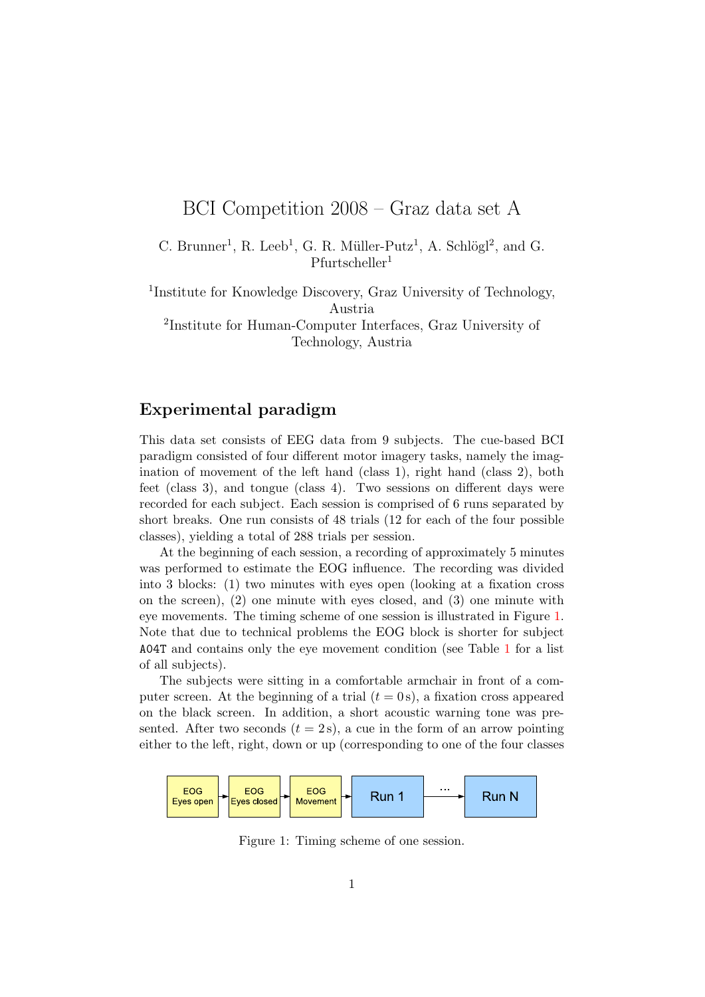# BCI Competition 2008 – Graz data set A

C. Brunner<sup>1</sup>, R. Leeb<sup>1</sup>, G. R. Müller-Putz<sup>1</sup>, A. Schlögl<sup>2</sup>, and G.  $P$ furtscheller<sup>1</sup>

1 Institute for Knowledge Discovery, Graz University of Technology, Austria

2 Institute for Human-Computer Interfaces, Graz University of Technology, Austria

## Experimental paradigm

This data set consists of EEG data from 9 subjects. The cue-based BCI paradigm consisted of four different motor imagery tasks, namely the imagination of movement of the left hand (class 1), right hand (class 2), both feet (class 3), and tongue (class 4). Two sessions on different days were recorded for each subject. Each session is comprised of 6 runs separated by short breaks. One run consists of 48 trials (12 for each of the four possible classes), yielding a total of 288 trials per session.

At the beginning of each session, a recording of approximately 5 minutes was performed to estimate the EOG influence. The recording was divided into 3 blocks: (1) two minutes with eyes open (looking at a fixation cross on the screen), (2) one minute with eyes closed, and (3) one minute with eye movements. The timing scheme of one session is illustrated in Figure [1.](#page-0-0) Note that due to technical problems the EOG block is shorter for subject A04T and contains only the eye movement condition (see Table [1](#page-2-0) for a list of all subjects).

The subjects were sitting in a comfortable armchair in front of a computer screen. At the beginning of a trial  $(t = 0 s)$ , a fixation cross appeared on the black screen. In addition, a short acoustic warning tone was presented. After two seconds  $(t = 2s)$ , a cue in the form of an arrow pointing either to the left, right, down or up (corresponding to one of the four classes



<span id="page-0-0"></span>Figure 1: Timing scheme of one session.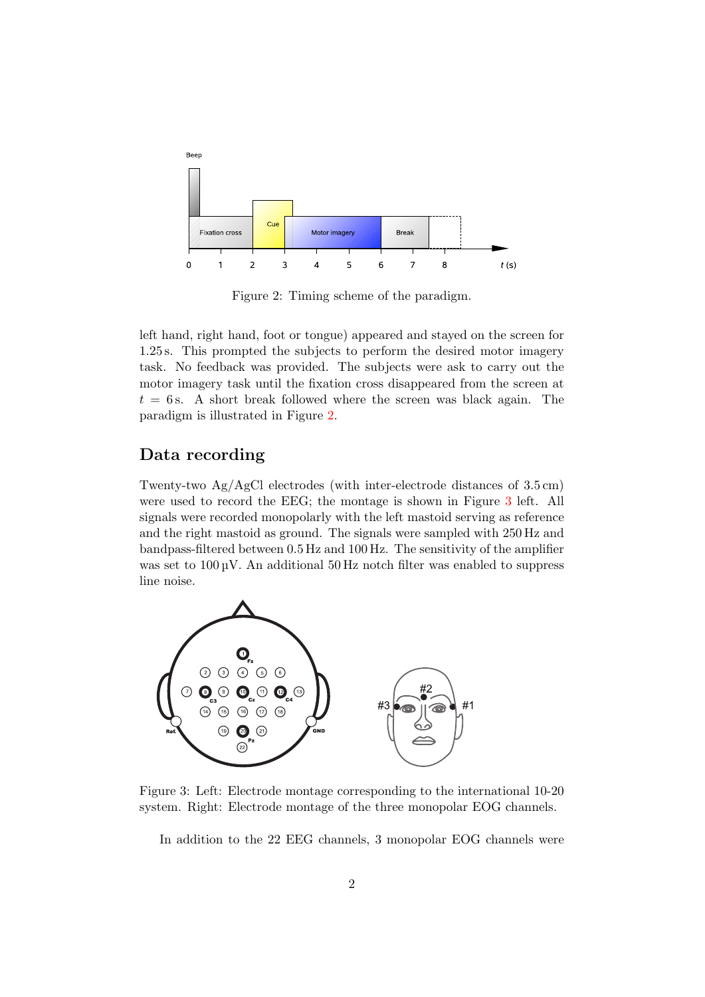

<span id="page-1-0"></span>Figure 2: Timing scheme of the paradigm.

left hand, right hand, foot or tongue) appeared and stayed on the screen for 1.25 s. This prompted the subjects to perform the desired motor imagery task. No feedback was provided. The subjects were ask to carry out the motor imagery task until the fixation cross disappeared from the screen at  $t = 6$  s. A short break followed where the screen was black again. The paradigm is illustrated in Figure [2.](#page-1-0)

#### Data recording

Twenty-two Ag/AgCl electrodes (with inter-electrode distances of 3.5 cm) were used to record the EEG; the montage is shown in Figure [3](#page-1-1) left. All signals were recorded monopolarly with the left mastoid serving as reference and the right mastoid as ground. The signals were sampled with 250 Hz and bandpass-filtered between 0.5 Hz and 100 Hz. The sensitivity of the amplifier was set to  $100 \text{ uV}$ . An additional  $50 \text{ Hz}$  notch filter was enabled to suppress line noise.



<span id="page-1-1"></span>Figure 3: Left: Electrode montage corresponding to the international 10-20 system. Right: Electrode montage of the three monopolar EOG channels.

In addition to the 22 EEG channels, 3 monopolar EOG channels were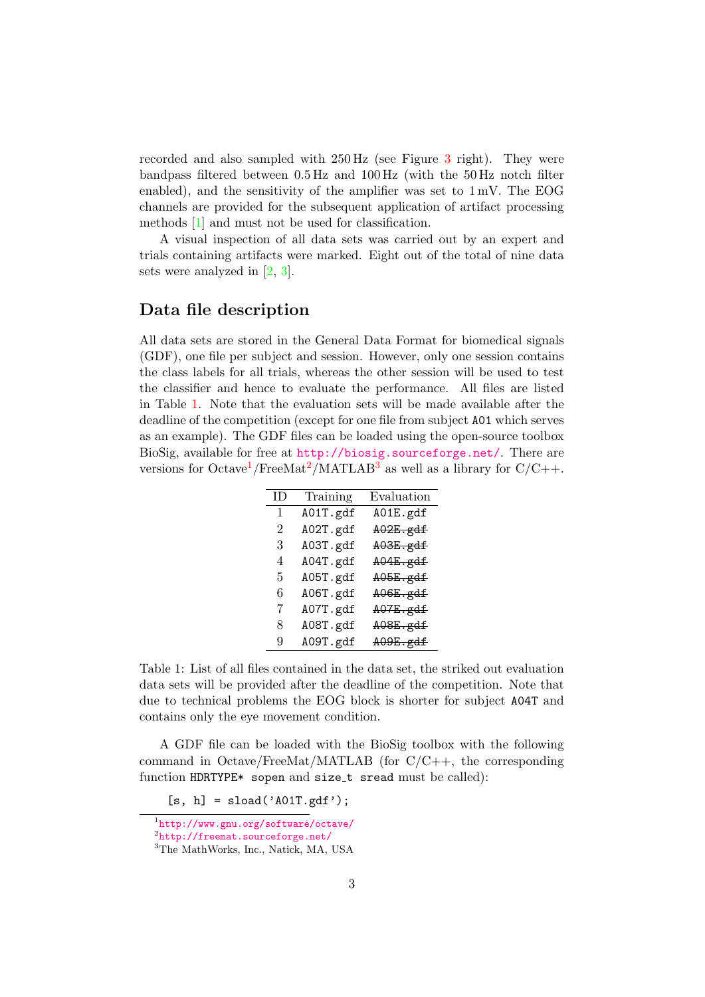recorded and also sampled with 250 Hz (see Figure [3](#page-1-1) right). They were bandpass filtered between 0.5 Hz and 100 Hz (with the 50 Hz notch filter enabled), and the sensitivity of the amplifier was set to 1 mV. The EOG channels are provided for the subsequent application of artifact processing methods [\[1\]](#page-4-0) and must not be used for classification.

A visual inspection of all data sets was carried out by an expert and trials containing artifacts were marked. Eight out of the total of nine data sets were analyzed in [\[2,](#page-5-0) [3\]](#page-5-1).

#### Data file description

All data sets are stored in the General Data Format for biomedical signals (GDF), one file per subject and session. However, only one session contains the class labels for all trials, whereas the other session will be used to test the classifier and hence to evaluate the performance. All files are listed in Table [1.](#page-2-0) Note that the evaluation sets will be made available after the deadline of the competition (except for one file from subject A01 which serves as an example). The GDF files can be loaded using the open-source toolbox BioSig, available for free at <http://biosig.sourceforge.net/>. There are versions for Octave<sup>[1](#page-2-1)</sup>/FreeMat<sup>[2](#page-2-2)</sup>/MATLAB<sup>[3](#page-2-3)</sup> as well as a library for  $C/C++$ .

| ID) | Training | Evaluation          |
|-----|----------|---------------------|
| 1   | A01T.gdf | A01E.gdf            |
| 2   | A02T.gdf | $A02E$ .gdf         |
| 3   | A03T.gdf | $A03E$ . $gdf$      |
| 4   | A04T.gdf | <del>A04E.gdf</del> |
| 5   | A05T.gdf | $A05E$ . $gdf$      |
| 6   | A06T.gdf | $A06E$ . $gdf$      |
| 7   | A07T.gdf | $A07E$ .gdf         |
| 8   | A08T.gdf | $A08E$ .gdf         |
| 9   | A09T.gdf | $A09E$ .gdf         |

<span id="page-2-0"></span>Table 1: List of all files contained in the data set, the striked out evaluation data sets will be provided after the deadline of the competition. Note that due to technical problems the EOG block is shorter for subject A04T and contains only the eye movement condition.

A GDF file can be loaded with the BioSig toolbox with the following command in Octave/FreeMat/MATLAB (for C/C++, the corresponding function HDRTYPE\* sopen and size\_t sread must be called):

 $[s, h] =$ sload('A01T.gdf');

<span id="page-2-1"></span><sup>1</sup> <http://www.gnu.org/software/octave/>

<span id="page-2-2"></span> $\mathrm{^{2}http://freement.sourcefore,net/}}$ 

<span id="page-2-3"></span><sup>&</sup>lt;sup>3</sup>The MathWorks, Inc., Natick, MA, USA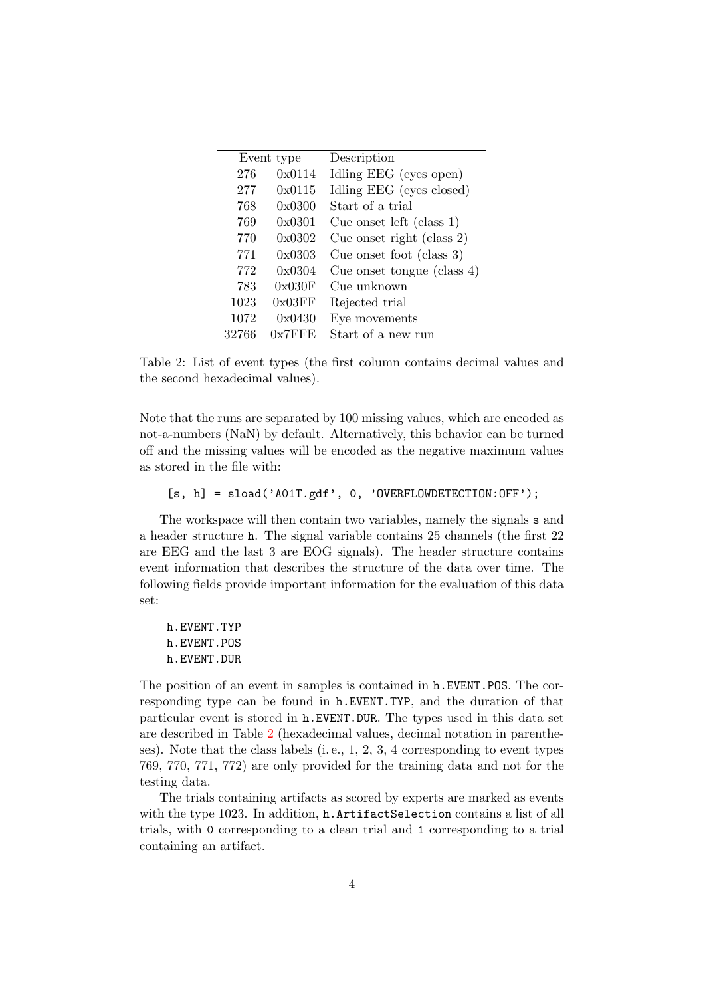| Event type |           | Description                   |  |
|------------|-----------|-------------------------------|--|
| 276        | 0x0114    | Idling EEG (eyes open)        |  |
| 277        | 0x0115    | Idling EEG (eyes closed)      |  |
| 768        | 0x0300    | Start of a trial              |  |
| 769        | 0x0301    | Cue onset left (class $1$ )   |  |
| 770        | 0x0302    | Cue onset right (class $2$ )  |  |
| 771        | 0x0303    | Cue onset foot (class $3$ )   |  |
| 772        | 0x0304    | Cue onset tongue (class $4$ ) |  |
| 783        | 0x030F    | Cue unknown                   |  |
| 1023       | 0x03FF    | Rejected trial                |  |
| 1072       | 0x0430    | Eye movements                 |  |
| 32766      | $0x7$ FFE | Start of a new run            |  |
|            |           |                               |  |

<span id="page-3-0"></span>Table 2: List of event types (the first column contains decimal values and the second hexadecimal values).

Note that the runs are separated by 100 missing values, which are encoded as not-a-numbers (NaN) by default. Alternatively, this behavior can be turned off and the missing values will be encoded as the negative maximum values as stored in the file with:

```
[s, h] = sload('A01T.gdf', 0, 'OVERFLOWDETECTION:OFF');
```
The workspace will then contain two variables, namely the signals s and a header structure h. The signal variable contains 25 channels (the first 22 are EEG and the last 3 are EOG signals). The header structure contains event information that describes the structure of the data over time. The following fields provide important information for the evaluation of this data set:

h.EVENT.TYP h.EVENT.POS h.EVENT.DUR

The position of an event in samples is contained in h.EVENT.POS. The corresponding type can be found in h.EVENT.TYP, and the duration of that particular event is stored in h.EVENT.DUR. The types used in this data set are described in Table [2](#page-3-0) (hexadecimal values, decimal notation in parentheses). Note that the class labels (i. e., 1, 2, 3, 4 corresponding to event types 769, 770, 771, 772) are only provided for the training data and not for the testing data.

The trials containing artifacts as scored by experts are marked as events with the type 1023. In addition, h.ArtifactSelection contains a list of all trials, with 0 corresponding to a clean trial and 1 corresponding to a trial containing an artifact.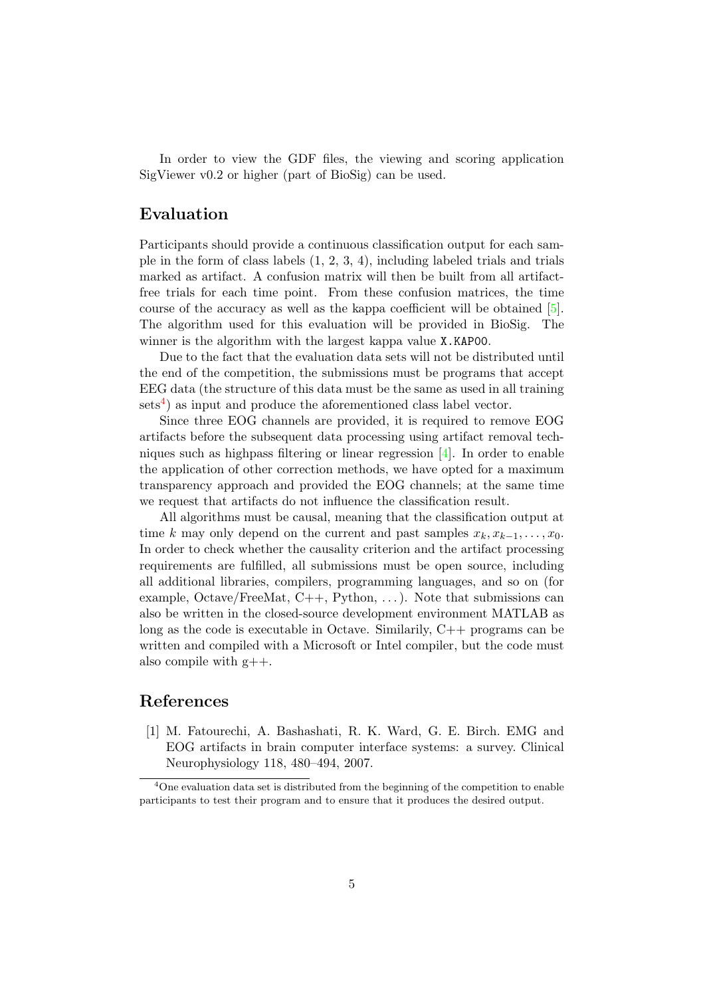In order to view the GDF files, the viewing and scoring application SigViewer v0.2 or higher (part of BioSig) can be used.

## Evaluation

Participants should provide a continuous classification output for each sample in the form of class labels  $(1, 2, 3, 4)$ , including labeled trials and trials marked as artifact. A confusion matrix will then be built from all artifactfree trials for each time point. From these confusion matrices, the time course of the accuracy as well as the kappa coefficient will be obtained [\[5\]](#page-5-2). The algorithm used for this evaluation will be provided in BioSig. The winner is the algorithm with the largest kappa value X.KAP00.

Due to the fact that the evaluation data sets will not be distributed until the end of the competition, the submissions must be programs that accept EEG data (the structure of this data must be the same as used in all training  $sets<sup>4</sup>$  $sets<sup>4</sup>$  $sets<sup>4</sup>$  as input and produce the aforementioned class label vector.

Since three EOG channels are provided, it is required to remove EOG artifacts before the subsequent data processing using artifact removal techniques such as highpass filtering or linear regression [\[4\]](#page-5-3). In order to enable the application of other correction methods, we have opted for a maximum transparency approach and provided the EOG channels; at the same time we request that artifacts do not influence the classification result.

All algorithms must be causal, meaning that the classification output at time k may only depend on the current and past samples  $x_k, x_{k-1}, \ldots, x_0$ . In order to check whether the causality criterion and the artifact processing requirements are fulfilled, all submissions must be open source, including all additional libraries, compilers, programming languages, and so on (for example, Octave/FreeMat,  $C_{++}$ , Python, ...). Note that submissions can also be written in the closed-source development environment MATLAB as long as the code is executable in Octave. Similarily, C++ programs can be written and compiled with a Microsoft or Intel compiler, but the code must also compile with  $g_{++}$ .

#### References

<span id="page-4-0"></span>[1] M. Fatourechi, A. Bashashati, R. K. Ward, G. E. Birch. EMG and EOG artifacts in brain computer interface systems: a survey. Clinical Neurophysiology 118, 480–494, 2007.

<span id="page-4-1"></span><sup>&</sup>lt;sup>4</sup>One evaluation data set is distributed from the beginning of the competition to enable participants to test their program and to ensure that it produces the desired output.